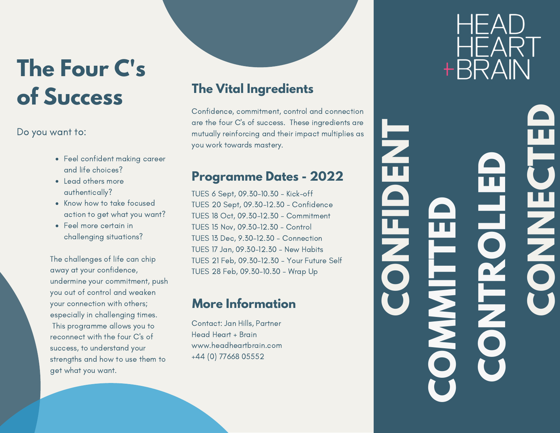# **The Four C's of Success**

## Do you want to:

- Feel confident making career and life choices?
- Lead others more authentically?
- Know how to take focused action to get what you want?
- Feel more certain in challenging situations?

The challenges of life can chip away at your confidence, undermine your commitment, push you out of control and weaken your connection with others; especially in challenging times. This programme allows you to reconnect with the four C's of success, to understand your strengths and how to use them to get what you want.

# **The Vital Ingredients**

Confidence, commitment, control and connection are the four C's of success. These ingredients are mutually reinforcing and their impact multiplies as you work towards mastery.

## **Programme Dates - 2022**

TUES 6 Sept, 09.30-10.30 - Kick-off TUES 20 Sept, 09.30-12.30 - Confidence TUES 18 Oct, 09.30-12.30 - Commitment TUES 15 Nov, 09.30-12.30 - Control TUES 13 Dec, 9.30-12.30 - Connection TUES 17 Jan, 09.30-12.30 - New Habits TUES 21 Feb, 09.30-12.30 - Your Future Self TUES 28 Feb, 09.30-10.30 - Wrap Up

## **More Information**

Contact: Jan Hills, Partner Head Heart + Brain www.headheartbrain.com +44 (0) 77668 05552

HEA HFAR<sup>-</sup> +BRAIN

**C**

**O**

**C**

**O**

**N**

**T**

**L**

**L**

**E**

**D**

**RO**

**M**

**M**

**C**

**O**

**N**

**FI**

**D**

**E**

**N**

**T**

**C**

**O**

**N**

**N**

**E**

**C**

**T**

**E**

**D**

**I**

**T**

**T**

**E**

**D**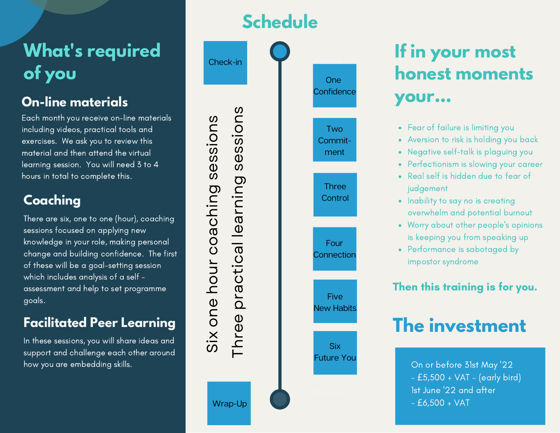# **What's required of you**

Each month you receive on-line materials including videos, practical tools and exercises. We ask you to review this material and then attend the virtual learning session. You will need 3 to 4 hours in total to complete this.

# **Coaching**

There are six, one to one (hour), coaching sessions focused on applying new knowledge in your role, making personal change and building confidence. The first of these will be a goal-setting session which includes analysis of a self assessment and help to set programme goals.

# **Facilitated Peer Learning**

In these sessions, you will share ideas and support and challenge each other around how you are embedding skills.





# **If in your most honest moments**

- Fear of failure is limiting you
- Aversion to risk is holding you back
- Negative self-talk is plaguing you
- Perfectionism is slowing your career
- Real self is hidden due to fear of judgement
- Inability to say no is creating overwhelm and potential burnout
- Worry about other people's opinions is keeping you from speaking up
- Performance is sabotaged by impostor syndrome

## Then this training is for you.

# **The investment**

On or before 31st May '22 - £5,500 + VAT - (early bird) 1st June '22 and after  $- E6,500 + VAT$